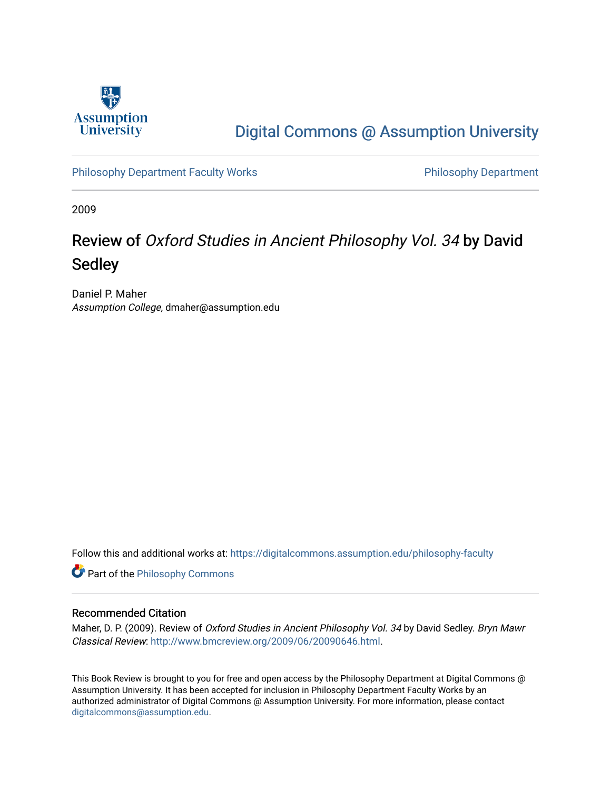

## [Digital Commons @ Assumption University](https://digitalcommons.assumption.edu/)

[Philosophy Department Faculty Works](https://digitalcommons.assumption.edu/philosophy-faculty) **Philosophy Department** 

2009

# Review of Oxford Studies in Ancient Philosophy Vol. 34 by David Sedley

Daniel P. Maher Assumption College, dmaher@assumption.edu

Follow this and additional works at: [https://digitalcommons.assumption.edu/philosophy-faculty](https://digitalcommons.assumption.edu/philosophy-faculty?utm_source=digitalcommons.assumption.edu%2Fphilosophy-faculty%2F18&utm_medium=PDF&utm_campaign=PDFCoverPages) 

**Part of the Philosophy Commons** 

#### Recommended Citation

Maher, D. P. (2009). Review of Oxford Studies in Ancient Philosophy Vol. 34 by David Sedley. Bryn Mawr Classical Review:<http://www.bmcreview.org/2009/06/20090646.html>.

This Book Review is brought to you for free and open access by the Philosophy Department at Digital Commons @ Assumption University. It has been accepted for inclusion in Philosophy Department Faculty Works by an authorized administrator of Digital Commons @ Assumption University. For more information, please contact [digitalcommons@assumption.edu](mailto:digitalcommons@assumption.edu).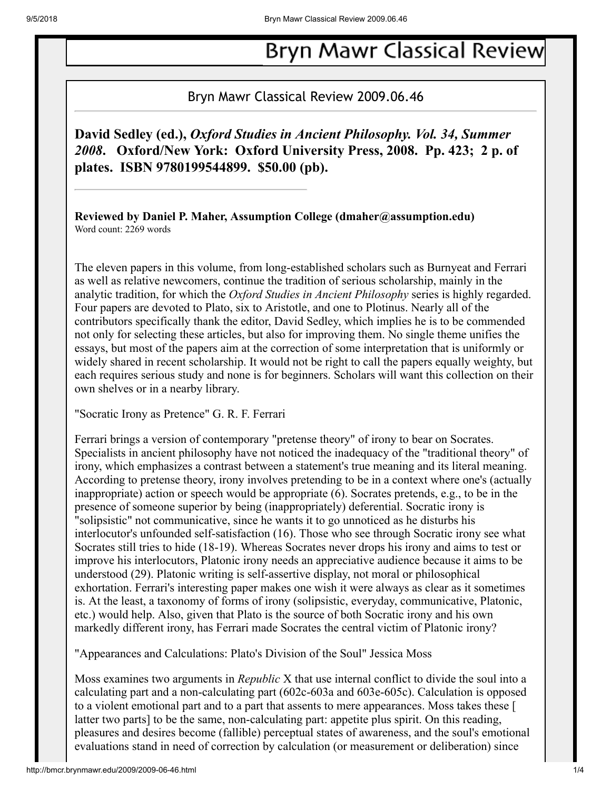# **Bryn Mawr Classical Review**

### Bryn Mawr Classical Review 2009.06.46

## **David Sedley (ed.),** *Oxford Studies in Ancient Philosophy. Vol. 34, Summer 2008***. Oxford/New York: Oxford University Press, 2008. Pp. 423; 2 p. of plates. ISBN 9780199544899. \$50.00 (pb).**

**Reviewed by Daniel P. Maher, Assumption College (dmaher@assumption.edu)** Word count: 2269 words

The eleven papers in this volume, from long-established scholars such as Burnyeat and Ferrari as well as relative newcomers, continue the tradition of serious scholarship, mainly in the analytic tradition, for which the *Oxford Studies in Ancient Philosophy* series is highly regarded. Four papers are devoted to Plato, six to Aristotle, and one to Plotinus. Nearly all of the contributors specifically thank the editor, David Sedley, which implies he is to be commended not only for selecting these articles, but also for improving them. No single theme unifies the essays, but most of the papers aim at the correction of some interpretation that is uniformly or widely shared in recent scholarship. It would not be right to call the papers equally weighty, but each requires serious study and none is for beginners. Scholars will want this collection on their own shelves or in a nearby library.

"Socratic Irony as Pretence" G. R. F. Ferrari

Ferrari brings a version of contemporary "pretense theory" of irony to bear on Socrates. Specialists in ancient philosophy have not noticed the inadequacy of the "traditional theory" of irony, which emphasizes a contrast between a statement's true meaning and its literal meaning. According to pretense theory, irony involves pretending to be in a context where one's (actually inappropriate) action or speech would be appropriate (6). Socrates pretends, e.g., to be in the presence of someone superior by being (inappropriately) deferential. Socratic irony is "solipsistic" not communicative, since he wants it to go unnoticed as he disturbs his interlocutor's unfounded self-satisfaction (16). Those who see through Socratic irony see what Socrates still tries to hide (18-19). Whereas Socrates never drops his irony and aims to test or improve his interlocutors, Platonic irony needs an appreciative audience because it aims to be understood (29). Platonic writing is self-assertive display, not moral or philosophical exhortation. Ferrari's interesting paper makes one wish it were always as clear as it sometimes is. At the least, a taxonomy of forms of irony (solipsistic, everyday, communicative, Platonic, etc.) would help. Also, given that Plato is the source of both Socratic irony and his own markedly different irony, has Ferrari made Socrates the central victim of Platonic irony?

"Appearances and Calculations: Plato's Division of the Soul" Jessica Moss

Moss examines two arguments in *Republic* X that use internal conflict to divide the soul into a calculating part and a non-calculating part (602c-603a and 603e-605c). Calculation is opposed to a violent emotional part and to a part that assents to mere appearances. Moss takes these [ latter two parts] to be the same, non-calculating part: appetite plus spirit. On this reading, pleasures and desires become (fallible) perceptual states of awareness, and the soul's emotional evaluations stand in need of correction by calculation (or measurement or deliberation) since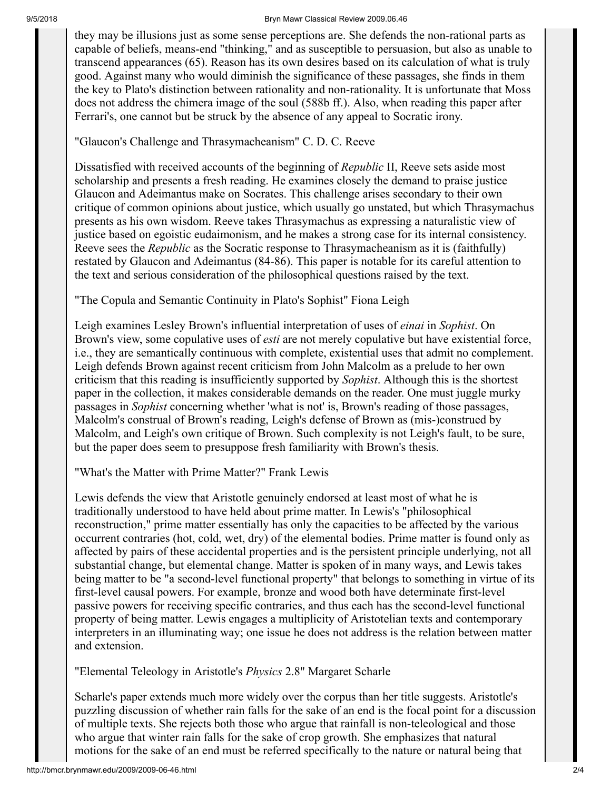#### 9/5/2018 Bryn Mawr Classical Review 2009.06.46

they may be illusions just as some sense perceptions are. She defends the non-rational parts as capable of beliefs, means-end "thinking," and as susceptible to persuasion, but also as unable to transcend appearances (65). Reason has its own desires based on its calculation of what is truly good. Against many who would diminish the significance of these passages, she finds in them the key to Plato's distinction between rationality and non-rationality. It is unfortunate that Moss does not address the chimera image of the soul (588b ff.). Also, when reading this paper after Ferrari's, one cannot but be struck by the absence of any appeal to Socratic irony.

"Glaucon's Challenge and Thrasymacheanism" C. D. C. Reeve

Dissatisfied with received accounts of the beginning of *Republic* II, Reeve sets aside most scholarship and presents a fresh reading. He examines closely the demand to praise justice Glaucon and Adeimantus make on Socrates. This challenge arises secondary to their own critique of common opinions about justice, which usually go unstated, but which Thrasymachus presents as his own wisdom. Reeve takes Thrasymachus as expressing a naturalistic view of justice based on egoistic eudaimonism, and he makes a strong case for its internal consistency. Reeve sees the *Republic* as the Socratic response to Thrasymacheanism as it is (faithfully) restated by Glaucon and Adeimantus (84-86). This paper is notable for its careful attention to the text and serious consideration of the philosophical questions raised by the text.

"The Copula and Semantic Continuity in Plato's Sophist" Fiona Leigh

Leigh examines Lesley Brown's influential interpretation of uses of *einai* in *Sophist*. On Brown's view, some copulative uses of *esti* are not merely copulative but have existential force, i.e., they are semantically continuous with complete, existential uses that admit no complement. Leigh defends Brown against recent criticism from John Malcolm as a prelude to her own criticism that this reading is insufficiently supported by *Sophist*. Although this is the shortest paper in the collection, it makes considerable demands on the reader. One must juggle murky passages in *Sophist* concerning whether 'what is not' is, Brown's reading of those passages, Malcolm's construal of Brown's reading, Leigh's defense of Brown as (mis-)construed by Malcolm, and Leigh's own critique of Brown. Such complexity is not Leigh's fault, to be sure, but the paper does seem to presuppose fresh familiarity with Brown's thesis.

"What's the Matter with Prime Matter?" Frank Lewis

Lewis defends the view that Aristotle genuinely endorsed at least most of what he is traditionally understood to have held about prime matter. In Lewis's "philosophical reconstruction," prime matter essentially has only the capacities to be affected by the various occurrent contraries (hot, cold, wet, dry) of the elemental bodies. Prime matter is found only as affected by pairs of these accidental properties and is the persistent principle underlying, not all substantial change, but elemental change. Matter is spoken of in many ways, and Lewis takes being matter to be "a second-level functional property" that belongs to something in virtue of its first-level causal powers. For example, bronze and wood both have determinate first-level passive powers for receiving specific contraries, and thus each has the second-level functional property of being matter. Lewis engages a multiplicity of Aristotelian texts and contemporary interpreters in an illuminating way; one issue he does not address is the relation between matter and extension.

"Elemental Teleology in Aristotle's *Physics* 2.8" Margaret Scharle

Scharle's paper extends much more widely over the corpus than her title suggests. Aristotle's puzzling discussion of whether rain falls for the sake of an end is the focal point for a discussion of multiple texts. She rejects both those who argue that rainfall is non-teleological and those who argue that winter rain falls for the sake of crop growth. She emphasizes that natural motions for the sake of an end must be referred specifically to the nature or natural being that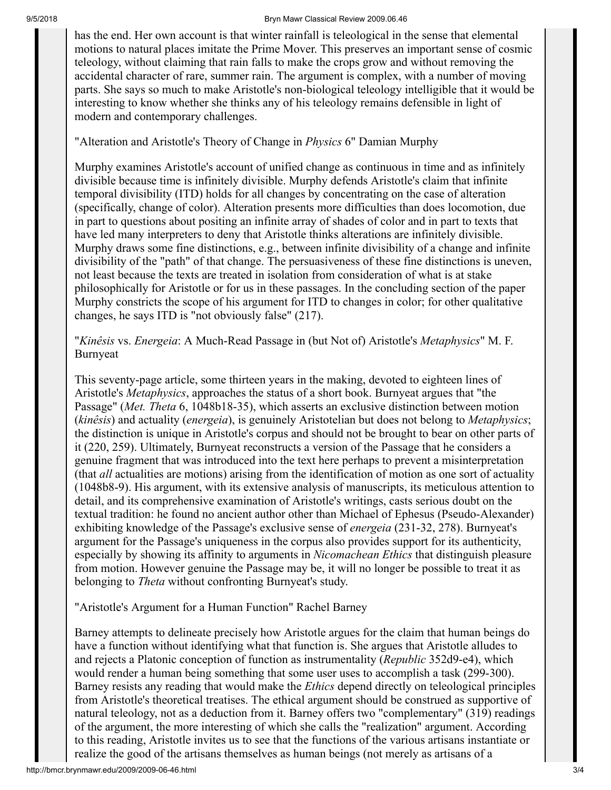#### 9/5/2018 Bryn Mawr Classical Review 2009.06.46

has the end. Her own account is that winter rainfall is teleological in the sense that elemental motions to natural places imitate the Prime Mover. This preserves an important sense of cosmic teleology, without claiming that rain falls to make the crops grow and without removing the accidental character of rare, summer rain. The argument is complex, with a number of moving parts. She says so much to make Aristotle's non-biological teleology intelligible that it would be interesting to know whether she thinks any of his teleology remains defensible in light of modern and contemporary challenges.

"Alteration and Aristotle's Theory of Change in *Physics* 6" Damian Murphy

Murphy examines Aristotle's account of unified change as continuous in time and as infinitely divisible because time is infinitely divisible. Murphy defends Aristotle's claim that infinite temporal divisibility (ITD) holds for all changes by concentrating on the case of alteration (specifically, change of color). Alteration presents more difficulties than does locomotion, due in part to questions about positing an infinite array of shades of color and in part to texts that have led many interpreters to deny that Aristotle thinks alterations are infinitely divisible. Murphy draws some fine distinctions, e.g., between infinite divisibility of a change and infinite divisibility of the "path" of that change. The persuasiveness of these fine distinctions is uneven, not least because the texts are treated in isolation from consideration of what is at stake philosophically for Aristotle or for us in these passages. In the concluding section of the paper Murphy constricts the scope of his argument for ITD to changes in color; for other qualitative changes, he says ITD is "not obviously false" (217).

"*Kinêsis* vs. *Energeia*: A Much-Read Passage in (but Not of) Aristotle's *Metaphysics*" M. F. Burnyeat

This seventy-page article, some thirteen years in the making, devoted to eighteen lines of Aristotle's *Metaphysics*, approaches the status of a short book. Burnyeat argues that "the Passage" (*Met. Theta* 6, 1048b18-35), which asserts an exclusive distinction between motion (*kinêsis*) and actuality (*energeia*), is genuinely Aristotelian but does not belong to *Metaphysics*; the distinction is unique in Aristotle's corpus and should not be brought to bear on other parts of it (220, 259). Ultimately, Burnyeat reconstructs a version of the Passage that he considers a genuine fragment that was introduced into the text here perhaps to prevent a misinterpretation (that *all* actualities are motions) arising from the identification of motion as one sort of actuality (1048b8-9). His argument, with its extensive analysis of manuscripts, its meticulous attention to detail, and its comprehensive examination of Aristotle's writings, casts serious doubt on the textual tradition: he found no ancient author other than Michael of Ephesus (Pseudo-Alexander) exhibiting knowledge of the Passage's exclusive sense of *energeia* (231-32, 278). Burnyeat's argument for the Passage's uniqueness in the corpus also provides support for its authenticity, especially by showing its affinity to arguments in *Nicomachean Ethics* that distinguish pleasure from motion. However genuine the Passage may be, it will no longer be possible to treat it as belonging to *Theta* without confronting Burnyeat's study.

"Aristotle's Argument for a Human Function" Rachel Barney

Barney attempts to delineate precisely how Aristotle argues for the claim that human beings do have a function without identifying what that function is. She argues that Aristotle alludes to and rejects a Platonic conception of function as instrumentality (*Republic* 352d9-e4), which would render a human being something that some user uses to accomplish a task (299-300). Barney resists any reading that would make the *Ethics* depend directly on teleological principles from Aristotle's theoretical treatises. The ethical argument should be construed as supportive of natural teleology, not as a deduction from it. Barney offers two "complementary" (319) readings of the argument, the more interesting of which she calls the "realization" argument. According to this reading, Aristotle invites us to see that the functions of the various artisans instantiate or realize the good of the artisans themselves as human beings (not merely as artisans of a